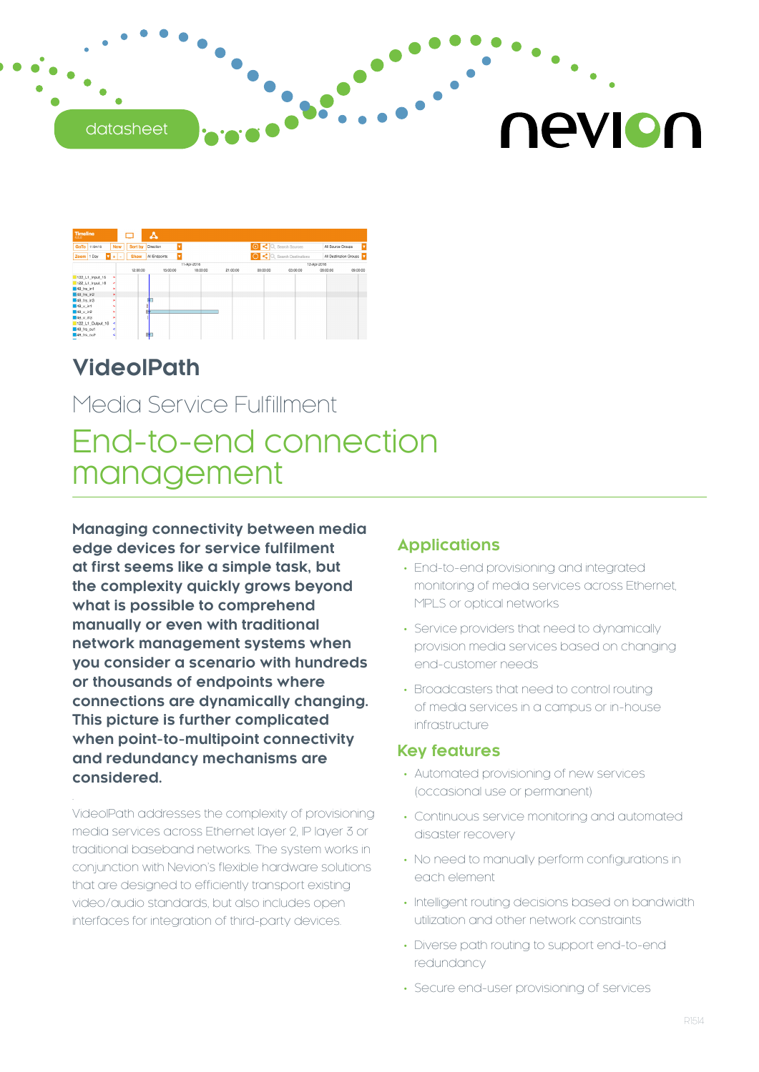#### datasheet

# nevion



# **VideoIPath**

# Media Service Fulfillment End-to-end connection management

**Managing connectivity between media edge devices for service fulfilment at first seems like a simple task, but the complexity quickly grows beyond what is possible to comprehend manually or even with traditional network management systems when you consider a scenario with hundreds or thousands of endpoints where connections are dynamically changing. This picture is further complicated when point-to-multipoint connectivity and redundancy mechanisms are considered.**

VideoIPath addresses the complexity of provisioning media services across Ethernet layer 2, IP layer 3 or traditional baseband networks. The system works in conjunction with Nevion's flexible hardware solutions that are designed to efficiently transport existing video/audio standards, but also includes open interfaces for integration of third-party devices.

#### **Applications**

- End-to-end provisioning and integrated monitoring of media services across Ethernet, MPLS or optical networks
- Service providers that need to dynamically provision media services based on changing end-customer needs
- Broadcasters that need to control routing of media services in a campus or in-house infrastructure

#### **Key features**

- Automated provisioning of new services (occasional use or permanent)
- Continuous service monitoring and automated disaster recovery
- No need to manually perform configurations in each element
- Intelligent routing decisions based on bandwidth utilization and other network constraints
- Diverse path routing to support end-to-end redundancy
- Secure end-user provisioning of services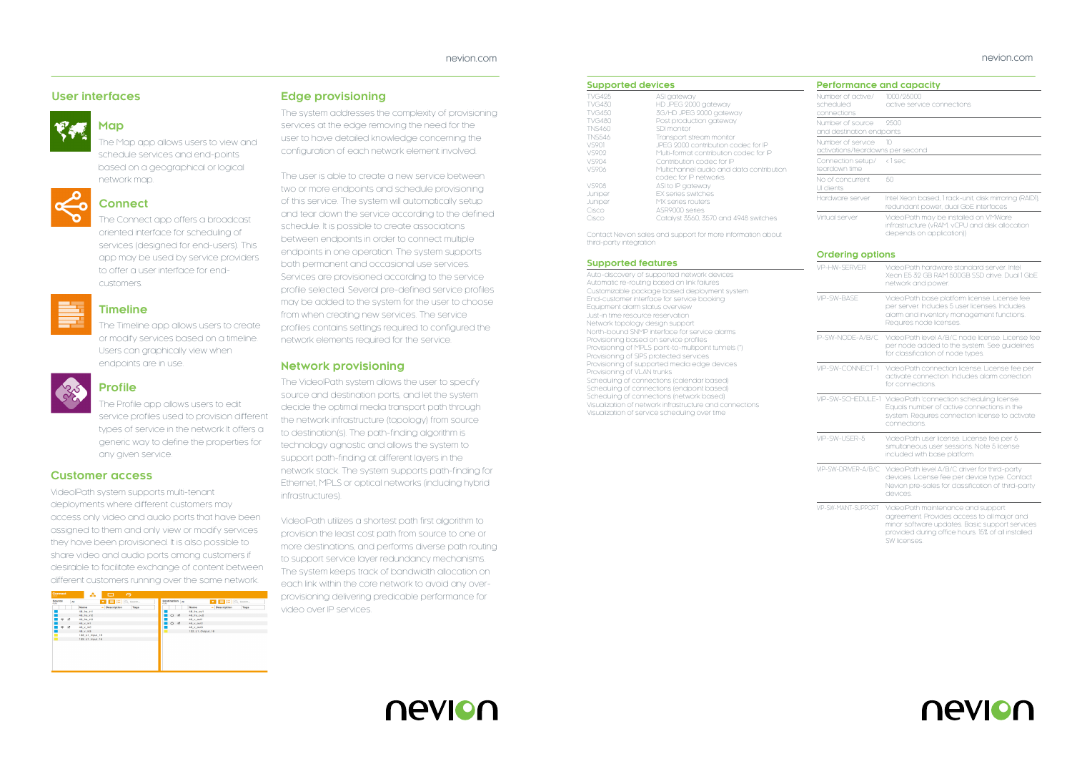#### **Supported devices**

| <b>TVG495</b> | ASI gateway                              |
|---------------|------------------------------------------|
| <b>TVG430</b> | HD JPEG 2000 gateway                     |
| <b>TVG450</b> | 3G/HD JPEG 2000 gateway                  |
| <b>TVG480</b> | Post production gateway                  |
| <b>TNS460</b> | SDI monitor                              |
| <b>TNS546</b> | Transport stream monitor                 |
| VS901         | JPEG 2000 contribution codec for IP      |
| VS902         | Multi-format contribution codec for IP   |
| VS904         | Contribution codec for IP                |
| V.S906        | Multichannel audio and data contribution |
|               | codec for IP networks                    |
| VS908         | ASI to IP gateway                        |
| Juniper       | <b>FX series switches</b>                |
| Juniper       | MX series routers                        |
| Cisco         | ASR9000 series                           |
| Cisco         | Catalyst 3560, 3570 and 4948 switches    |
|               |                                          |

Contact Nevion sales and support for more information about third-party integration

#### **Supported features**

Auto-discovery of supported network devices Automatic re-routing based on link failures Customizable package based deployment system End-customer interface for service booking Equipment alarm status overview Just-in time resource reservation Network topology design support North-bound SNMP interface for service alarms Provisioning based on service profiles Provisioning of MPLS point-to-multipoint tunnels (\*) Provisioning of SIPS protected services Provisioning of supported media edge devices Provisioning of VLAN trunks Scheduling of connections (calendar based) Scheduling of connections (endpoint based) Scheduling of connections (network based) Visualization of network infrastructure and connections Visualization of service scheduling over time



#### **Map**

The Map app allows users to view and schedule services and end-points based on a geographical or logical network map.



#### **Connect**

The Connect app offers a broadcast oriented interface for scheduling of services (designed for end-users). This app may be used by service providers to offer a user interface for endcustomers.



#### **Timeline**

The Timeline app allows users to create or modify services based on a timeline. Users can graphically view when endpoints are in use.



### **Profile**

The Profile app allows users to edit service profiles used to provision different types of service in the network It offers a generic way to define the properties for any given service.

#### **Customer access**

VideoIPath system supports multi-tenant deployments where different customers may access only video and audio ports that have been assigned to them and only view or modify services they have been provisioned. It is also possible to share video and audio ports among customers if desirable to facilitate exchange of content between different customers running over the same network.



#### **Edge provisioning**

The system addresses the complexity of provisioning services at the edge removing the need for the user to have detailed knowledge concerning the configuration of each network element involved.

The user is able to create a new service between two or more endpoints and schedule provisioning of this service. The system will automatically setup and tear down the service according to the defined schedule. It is possible to create associations between endpoints in order to connect multiple endpoints in one operation. The system supports both permanent and occasional use services. Services are provisioned according to the service profile selected. Several pre-defined service profiles may be added to the system for the user to choose from when creating new services. The service profiles contains settings required to configured the network elements required for the service.

#### **Network provisioning**

The VideoIPath system allows the user to specify source and destination ports, and let the system decide the optimal media transport path through the network infrastructure (topology) from source to destination(s). The path-finding algorithm is technology agnostic and allows the system to support path-finding at different layers in the network stack. The system supports path-finding for Ethernet, MPLS or optical networks (including hybrid infrastructures).

VideoIPath utilizes a shortest path first algorithm to provision the least cost path from source to one or more destinations, and performs diverse path routing to support service layer redundancy mechanisms. The system keeps track of bandwidth allocation on each link within the core network to avoid any overprovisioning delivering predicable performance for video over IP services.

#### **Performance and capacity**

| Number of active/<br>scheduled<br>connections         | 1000/25000<br>active service connections                                                                            |
|-------------------------------------------------------|---------------------------------------------------------------------------------------------------------------------|
| Number of source<br>and destination endpoints         | 9500                                                                                                                |
| Number of service<br>activations/teardowns per second | 10                                                                                                                  |
| Connection setup/ <1 sec<br>teardown time             |                                                                                                                     |
| No of concurrent<br>UI clients                        | 50                                                                                                                  |
| Hardware server                                       | Intel Xeon based, 1 rack-unit, disk mirroring (RAID1),<br>redundant power, dual GbE interfaces                      |
| Virtual server                                        | VideolPath may be installed on VMWare<br>infrastructure (vRAM, vCPU and disk allocation<br>depends on application)) |

#### **Ordering options**

| VP-HW-SFRVFR                                                                                                                                                                            | VideolPath hardware standard server Intel<br>Xeon E5 32 GB RAM 500GB SSD drive. Dual 1 GbE<br>network and power.                                                                                          |
|-----------------------------------------------------------------------------------------------------------------------------------------------------------------------------------------|-----------------------------------------------------------------------------------------------------------------------------------------------------------------------------------------------------------|
| VIP-SW-BASE                                                                                                                                                                             | VideolPath base platform license. License fee<br>per server. Includes 5 user licenses. Includes<br>alarm and inventory management functions.<br>Requires node licenses.                                   |
| IP-SW-NODE-A/B/C                                                                                                                                                                        | VideolPath level A/B/C node license. License fee<br>per node added to the system. See guidelines<br>for classification of node types.                                                                     |
| VIP-SW-CONNECT-1                                                                                                                                                                        | VideolPath connection license. License fee per<br>activate connection. Includes alarm correction<br>for connections                                                                                       |
|                                                                                                                                                                                         | VIP-SW-SCHEDULE-1 VideolPath 'connection scheduling license.<br>Equals number of active connections in the<br>system. Requires connection license to activate<br>connections.                             |
| VIP-SW-USFR-5                                                                                                                                                                           | VideolPath user license. License fee per 5<br>simultaneous user sessions. Note 5 license<br>included with base platform.                                                                                  |
| VIP-SW-DRIVER-A/B/C<br>VideolPath level A/B/C driver for third-party<br>devices. License fee per device type. Contact<br>Nevion pre-sales for classification of third-party<br>devices. |                                                                                                                                                                                                           |
| VIP-SW-MAINT-SUPPORT                                                                                                                                                                    | VideolPath maintenance and support<br>agreement. Provides access to all major and<br>minor software updates. Basic support services<br>provided during office hours. 15% of all installed<br>SW licenses. |



#### **User interfaces**